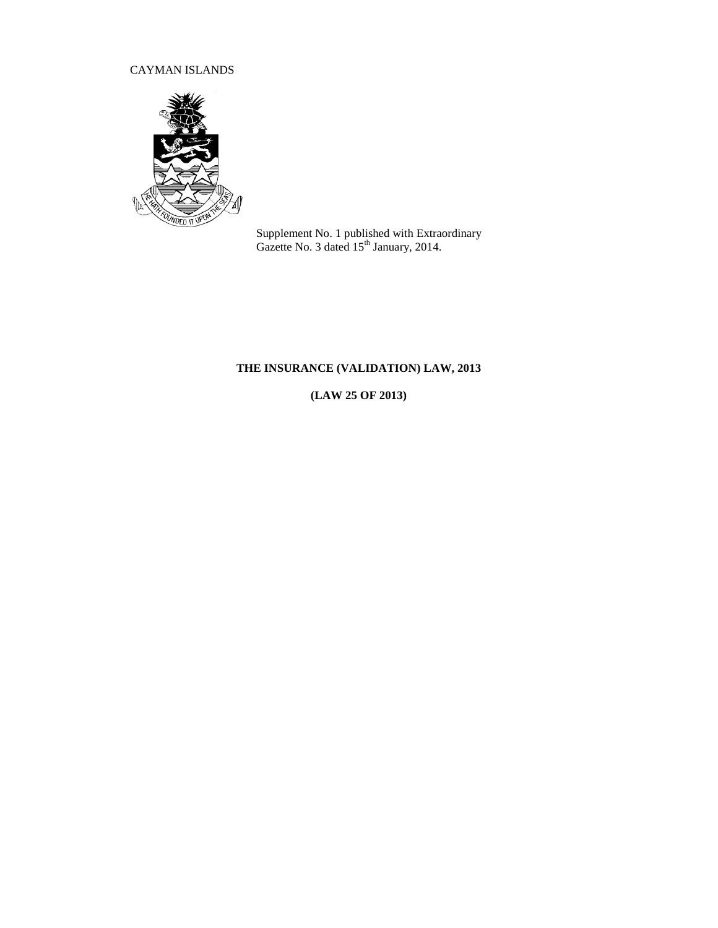## CAYMAN ISLANDS



Supplement No. 1 published with Extraordinary Gazette No. 3 dated 15<sup>th</sup> January, 2014.

## **THE INSURANCE (VALIDATION) LAW, 2013**

**(LAW 25 OF 2013)**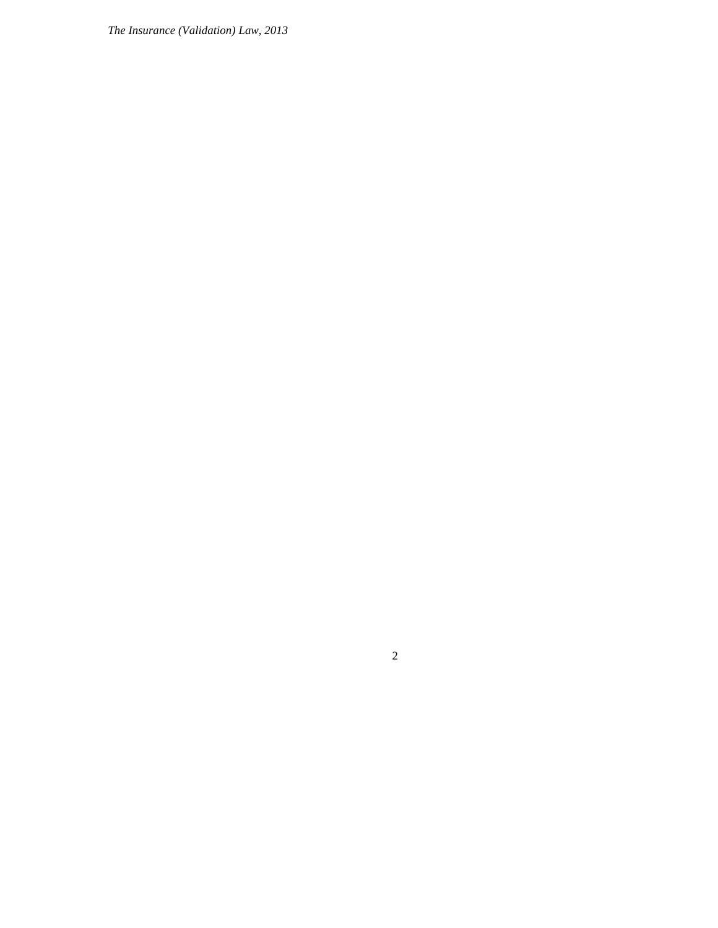*The Insurance (Validation) Law, 2013*

2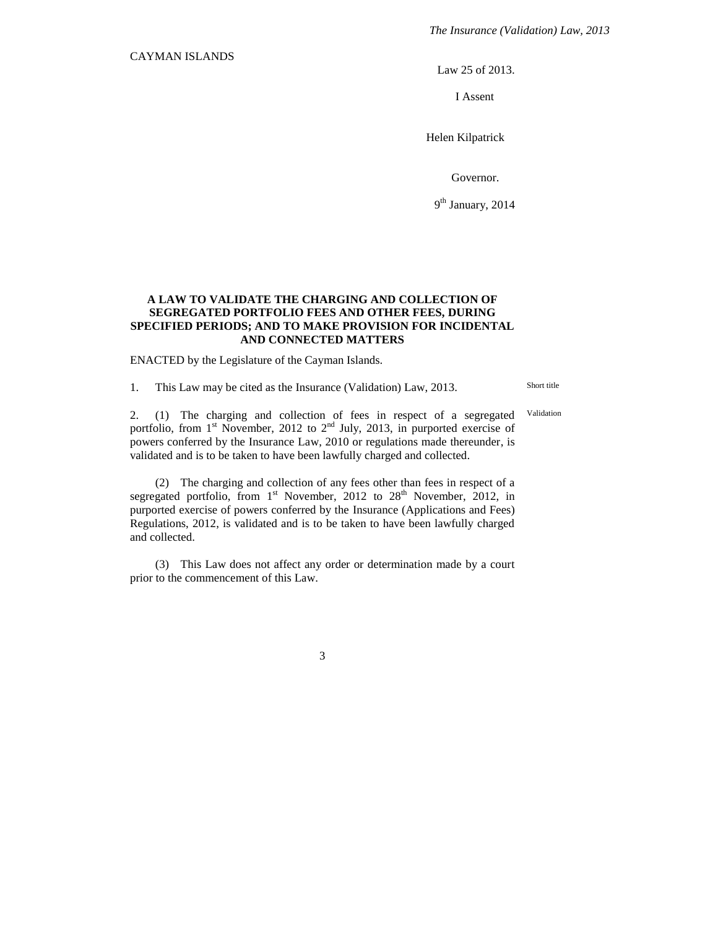Law 25 of 2013.

I Assent

Helen Kilpatrick

Governor.

9<sup>th</sup> January, 2014

## **A LAW TO VALIDATE THE CHARGING AND COLLECTION OF SEGREGATED PORTFOLIO FEES AND OTHER FEES, DURING SPECIFIED PERIODS; AND TO MAKE PROVISION FOR INCIDENTAL AND CONNECTED MATTERS**

ENACTED by the Legislature of the Cayman Islands.

1. This Law may be cited as the Insurance (Validation) Law, 2013.

Short title

2. (1) The charging and collection of fees in respect of a segregated portfolio, from  $1<sup>st</sup>$  November, 2012 to  $2<sup>nd</sup>$  July, 2013, in purported exercise of powers conferred by the Insurance Law, 2010 or regulations made thereunder, is validated and is to be taken to have been lawfully charged and collected. Validation

(2) The charging and collection of any fees other than fees in respect of a segregated portfolio, from  $1<sup>st</sup>$  November, 2012 to  $28<sup>th</sup>$  November, 2012, in purported exercise of powers conferred by the Insurance (Applications and Fees) Regulations, 2012, is validated and is to be taken to have been lawfully charged and collected.

(3) This Law does not affect any order or determination made by a court prior to the commencement of this Law.

3